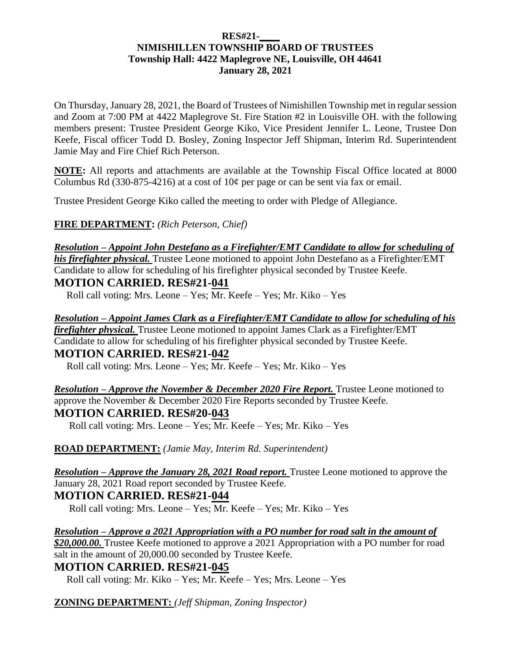#### **RES#21-\_\_\_\_ NIMISHILLEN TOWNSHIP BOARD OF TRUSTEES Township Hall: 4422 Maplegrove NE, Louisville, OH 44641 January 28, 2021**

On Thursday, January 28, 2021, the Board of Trustees of Nimishillen Township met in regular session and Zoom at 7:00 PM at 4422 Maplegrove St. Fire Station #2 in Louisville OH. with the following members present: Trustee President George Kiko, Vice President Jennifer L. Leone, Trustee Don Keefe, Fiscal officer Todd D. Bosley, Zoning Inspector Jeff Shipman, Interim Rd. Superintendent Jamie May and Fire Chief Rich Peterson.

**NOTE:** All reports and attachments are available at the Township Fiscal Office located at 8000 Columbus Rd (330-875-4216) at a cost of  $10¢$  per page or can be sent via fax or email.

Trustee President George Kiko called the meeting to order with Pledge of Allegiance.

**FIRE DEPARTMENT:** *(Rich Peterson, Chief)*

*Resolution – Appoint John Destefano as a Firefighter/EMT Candidate to allow for scheduling of his firefighter physical.* Trustee Leone motioned to appoint John Destefano as a Firefighter/EMT

Candidate to allow for scheduling of his firefighter physical seconded by Trustee Keefe. **MOTION CARRIED. RES#21-041**

Roll call voting: Mrs. Leone – Yes; Mr. Keefe – Yes; Mr. Kiko – Yes

*Resolution – Appoint James Clark as a Firefighter/EMT Candidate to allow for scheduling of his firefighter physical.* Trustee Leone motioned to appoint James Clark as a Firefighter/EMT Candidate to allow for scheduling of his firefighter physical seconded by Trustee Keefe. **MOTION CARRIED. RES#21-042**

Roll call voting: Mrs. Leone – Yes; Mr. Keefe – Yes; Mr. Kiko – Yes

*Resolution – Approve the November & December 2020 Fire Report.* Trustee Leone motioned to approve the November & December 2020 Fire Reports seconded by Trustee Keefe. **MOTION CARRIED. RES#20-043**

Roll call voting: Mrs. Leone – Yes; Mr. Keefe – Yes; Mr. Kiko – Yes

**ROAD DEPARTMENT:** *(Jamie May, Interim Rd. Superintendent)*

*Resolution – Approve the January 28, 2021 Road report.* Trustee Leone motioned to approve the January 28, 2021 Road report seconded by Trustee Keefe. **MOTION CARRIED. RES#21-044**

Roll call voting: Mrs. Leone – Yes; Mr. Keefe – Yes; Mr. Kiko – Yes

*Resolution – Approve a 2021 Appropriation with a PO number for road salt in the amount of \$20,000.00.* Trustee Keefe motioned to approve a 2021 Appropriation with a PO number for road salt in the amount of 20,000.00 seconded by Trustee Keefe.

**MOTION CARRIED. RES#21-045**

Roll call voting: Mr. Kiko – Yes; Mr. Keefe – Yes; Mrs. Leone – Yes

**ZONING DEPARTMENT:** *(Jeff Shipman, Zoning Inspector)*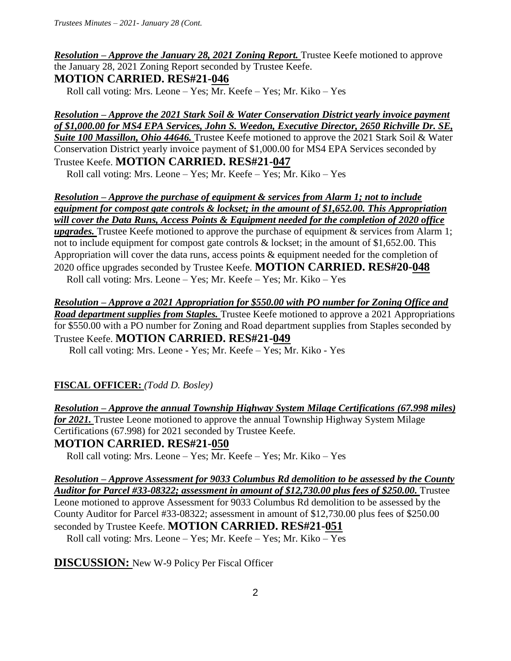## *Resolution – Approve the January 28, 2021 Zoning Report.* Trustee Keefe motioned to approve the January 28, 2021 Zoning Report seconded by Trustee Keefe. **MOTION CARRIED. RES#21-046**

Roll call voting: Mrs. Leone – Yes; Mr. Keefe – Yes; Mr. Kiko – Yes

*Resolution – Approve the 2021 Stark Soil & Water Conservation District yearly invoice payment of \$1,000.00 for MS4 EPA Services, John S. Weedon, Executive Director, 2650 Richville Dr. SE, Suite 100 Massillon, Ohio 44646.* Trustee Keefe motioned to approve the 2021 Stark Soil & Water Conservation District yearly invoice payment of \$1,000.00 for MS4 EPA Services seconded by Trustee Keefe. **MOTION CARRIED. RES#21-047**

Roll call voting: Mrs. Leone – Yes; Mr. Keefe – Yes; Mr. Kiko – Yes

*Resolution – Approve the purchase of equipment & services from Alarm 1; not to include equipment for compost gate controls & lockset; in the amount of \$1,652.00. This Appropriation will cover the Data Runs, Access Points & Equipment needed for the completion of 2020 office upgrades*. Trustee Keefe motioned to approve the purchase of equipment & services from Alarm 1; not to include equipment for compost gate controls & lockset; in the amount of \$1,652.00. This Appropriation will cover the data runs, access points & equipment needed for the completion of 2020 office upgrades seconded by Trustee Keefe. **MOTION CARRIED. RES#20-048** Roll call voting: Mrs. Leone – Yes; Mr. Keefe – Yes; Mr. Kiko – Yes

*Resolution – Approve a 2021 Appropriation for \$550.00 with PO number for Zoning Office and Road department supplies from Staples.* Trustee Keefe motioned to approve a 2021 Appropriations for \$550.00 with a PO number for Zoning and Road department supplies from Staples seconded by Trustee Keefe. **MOTION CARRIED. RES#21-049** 

Roll call voting: Mrs. Leone - Yes; Mr. Keefe – Yes; Mr. Kiko - Yes

# **FISCAL OFFICER:** *(Todd D. Bosley)*

*Resolution – Approve the annual Township Highway System Milage Certifications (67.998 miles) for 2021.* Trustee Leone motioned to approve the annual Township Highway System Milage Certifications (67.998) for 2021 seconded by Trustee Keefe. **MOTION CARRIED. RES#21-050**

Roll call voting: Mrs. Leone – Yes; Mr. Keefe – Yes; Mr. Kiko – Yes

*Resolution – Approve Assessment for 9033 Columbus Rd demolition to be assessed by the County Auditor for Parcel #33-08322; assessment in amount of \$12,730.00 plus fees of \$250.00.* Trustee Leone motioned to approve Assessment for 9033 Columbus Rd demolition to be assessed by the County Auditor for Parcel #33-08322; assessment in amount of \$12,730.00 plus fees of \$250.00 seconded by Trustee Keefe. **MOTION CARRIED. RES#21-051**

Roll call voting: Mrs. Leone – Yes; Mr. Keefe – Yes; Mr. Kiko – Yes

**DISCUSSION:** New W-9 Policy Per Fiscal Officer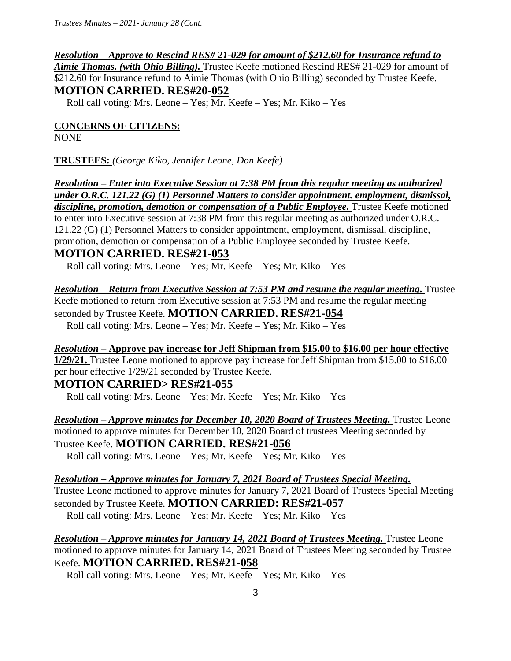#### *Resolution – Approve to Rescind RES# 21-029 for amount of \$212.60 for Insurance refund to*

*Aimie Thomas. (with Ohio Billing).* Trustee Keefe motioned Rescind RES# 21-029 for amount of \$212.60 for Insurance refund to Aimie Thomas (with Ohio Billing) seconded by Trustee Keefe. **MOTION CARRIED. RES#20-052**

Roll call voting: Mrs. Leone – Yes; Mr. Keefe – Yes; Mr. Kiko – Yes

#### **CONCERNS OF CITIZENS:**

NONE

**TRUSTEES:** *(George Kiko, Jennifer Leone, Don Keefe)*

*Resolution – Enter into Executive Session at 7:38 PM from this regular meeting as authorized under O.R.C. 121.22 (G) (1) Personnel Matters to consider appointment. employment, dismissal,*  discipline, promotion, demotion or compensation of a Public Employee. Trustee Keefe motioned to enter into Executive session at 7:38 PM from this regular meeting as authorized under O.R.C. 121.22 (G) (1) Personnel Matters to consider appointment, employment, dismissal, discipline, promotion, demotion or compensation of a Public Employee seconded by Trustee Keefe.

### **MOTION CARRIED. RES#21-053**

Roll call voting: Mrs. Leone – Yes; Mr. Keefe – Yes; Mr. Kiko – Yes

*Resolution – Return from Executive Session at 7:53 PM and resume the regular meeting.* Trustee Keefe motioned to return from Executive session at 7:53 PM and resume the regular meeting seconded by Trustee Keefe. **MOTION CARRIED. RES#21-054** Roll call voting: Mrs. Leone – Yes; Mr. Keefe – Yes; Mr. Kiko – Yes

*Resolution –* **Approve pay increase for Jeff Shipman from \$15.00 to \$16.00 per hour effective 1/29/21.** Trustee Leone motioned to approve pay increase for Jeff Shipman from \$15.00 to \$16.00 per hour effective 1/29/21 seconded by Trustee Keefe.

## **MOTION CARRIED> RES#21-055**

Roll call voting: Mrs. Leone – Yes; Mr. Keefe – Yes; Mr. Kiko – Yes

*Resolution – Approve minutes for December 10, 2020 Board of Trustees Meeting.* Trustee Leone motioned to approve minutes for December 10, 2020 Board of trustees Meeting seconded by Trustee Keefe. **MOTION CARRIED. RES#21-056** 

Roll call voting: Mrs. Leone – Yes; Mr. Keefe – Yes; Mr. Kiko – Yes

#### *Resolution – Approve minutes for January 7, 2021 Board of Trustees Special Meeting.*

Trustee Leone motioned to approve minutes for January 7, 2021 Board of Trustees Special Meeting seconded by Trustee Keefe. **MOTION CARRIED: RES#21-057** 

Roll call voting: Mrs. Leone – Yes; Mr. Keefe – Yes; Mr. Kiko – Yes

*Resolution – Approve minutes for January 14, 2021 Board of Trustees Meeting.* Trustee Leone motioned to approve minutes for January 14, 2021 Board of Trustees Meeting seconded by Trustee Keefe. **MOTION CARRIED. RES#21-058** 

Roll call voting: Mrs. Leone – Yes; Mr. Keefe – Yes; Mr. Kiko – Yes